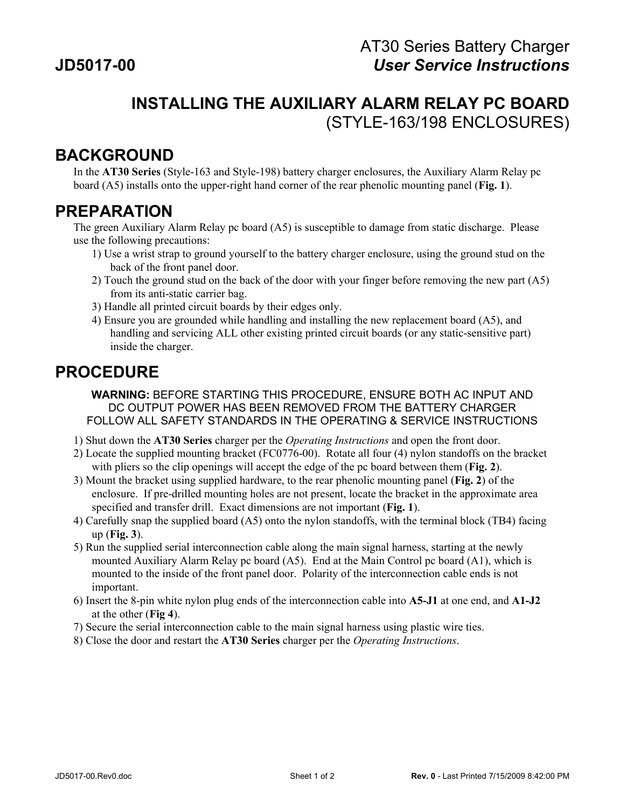## **INSTALLING THE AUXILIARY ALARM RELAY PC BOARD** (STYLE-163/198 ENCLOSURES)

## **BACKGROUND**

In the **AT30 Series** (Style-163 and Style-198) battery charger enclosures, the Auxiliary Alarm Relay pc board (A5) installs onto the upper-right hand corner of the rear phenolic mounting panel (**Fig. 1**).

## **PREPARATION**

The green Auxiliary Alarm Relay pc board (A5) is susceptible to damage from static discharge. Please use the following precautions:

- 1) Use a wrist strap to ground yourself to the battery charger enclosure, using the ground stud on the back of the front panel door.
- 2) Touch the ground stud on the back of the door with your finger before removing the new part (A5) from its anti-static carrier bag.
- 3) Handle all printed circuit boards by their edges only.
- 4) Ensure you are grounded while handling and installing the new replacement board (A5), and handling and servicing ALL other existing printed circuit boards (or any static-sensitive part) inside the charger.

## **PROCEDURE**

**WARNING:** BEFORE STARTING THIS PROCEDURE, ENSURE BOTH AC INPUT AND DC OUTPUT POWER HAS BEEN REMOVED FROM THE BATTERY CHARGER FOLLOW ALL SAFETY STANDARDS IN THE OPERATING & SERVICE INSTRUCTIONS

- 1) Shut down the **AT30 Series** charger per the *Operating Instructions* and open the front door.
- 2) Locate the supplied mounting bracket (FC0776-00). Rotate all four (4) nylon standoffs on the bracket with pliers so the clip openings will accept the edge of the pc board between them (**Fig. 2**).
- 3) Mount the bracket using supplied hardware, to the rear phenolic mounting panel (**Fig. 2**) of the enclosure. If pre-drilled mounting holes are not present, locate the bracket in the approximate area specified and transfer drill. Exact dimensions are not important (**Fig. 1**).
- 4) Carefully snap the supplied board (A5) onto the nylon standoffs, with the terminal block (TB4) facing up (**Fig. 3**).
- 5) Run the supplied serial interconnection cable along the main signal harness, starting at the newly mounted Auxiliary Alarm Relay pc board (A5). End at the Main Control pc board (A1), which is mounted to the inside of the front panel door. Polarity of the interconnection cable ends is not important.
- 6) Insert the 8-pin white nylon plug ends of the interconnection cable into **A5-J1** at one end, and **A1-J2** at the other (**Fig 4**).
- 7) Secure the serial interconnection cable to the main signal harness using plastic wire ties.
- 8) Close the door and restart the **AT30 Series** charger per the *Operating Instructions*.